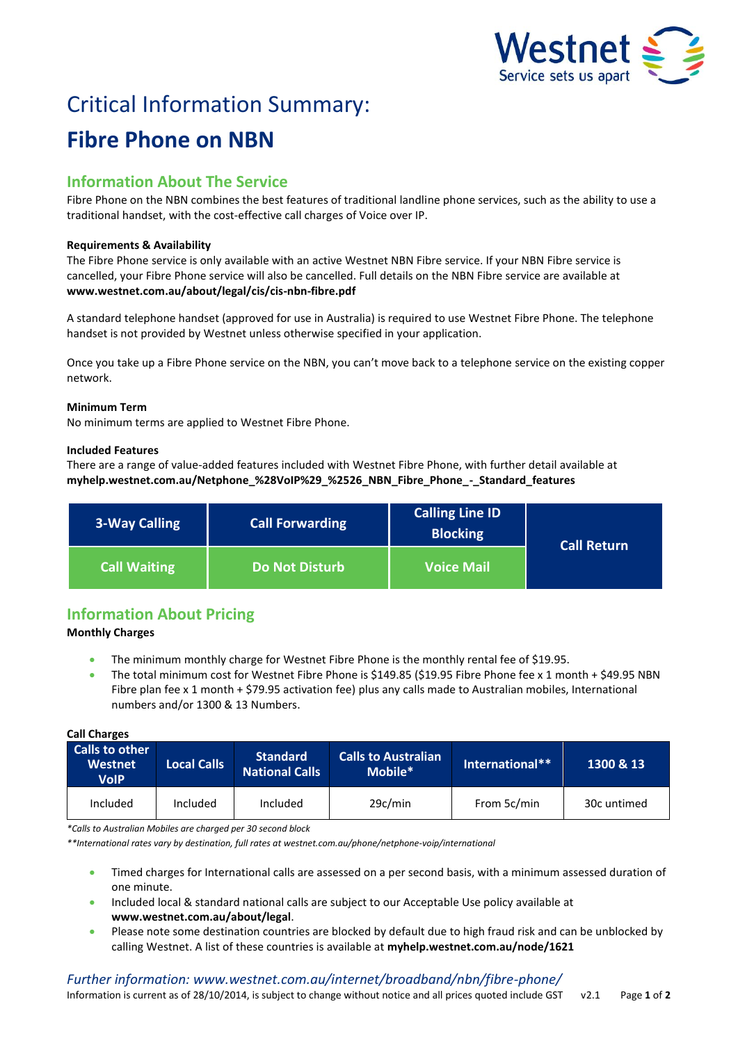

# Critical Information Summary: **Fibre Phone on NBN**

# **Information About The Service**

Fibre Phone on the NBN combines the best features of traditional landline phone services, such as the ability to use a traditional handset, with the cost-effective call charges of Voice over IP.

## **Requirements & Availability**

The Fibre Phone service is only available with an active Westnet NBN Fibre service. If your NBN Fibre service is cancelled, your Fibre Phone service will also be cancelled. Full details on the NBN Fibre service are available at **www.westnet.com.au/about/legal/cis/cis-nbn-fibre.pdf**

A standard telephone handset (approved for use in Australia) is required to use Westnet Fibre Phone. The telephone handset is not provided by Westnet unless otherwise specified in your application.

Once you take up a Fibre Phone service on the NBN, you can't move back to a telephone service on the existing copper network.

## **Minimum Term**

No minimum terms are applied to Westnet Fibre Phone.

#### **Included Features**

There are a range of value-added features included with Westnet Fibre Phone, with further detail available at **myhelp.westnet.com.au/Netphone\_%28VoIP%29\_%2526\_NBN\_Fibre\_Phone\_-\_Standard\_features**

| 3-Way Calling       | <b>Call Forwarding</b> | <b>Calling Line ID</b><br><b>Blocking</b> | <b>Call Return</b> |
|---------------------|------------------------|-------------------------------------------|--------------------|
| <b>Call Waiting</b> | <b>Do Not Disturb</b>  | <b>Voice Mail</b>                         |                    |

# **Information About Pricing**

## **Monthly Charges**

- The minimum monthly charge for Westnet Fibre Phone is the monthly rental fee of \$19.95.
- The total minimum cost for Westnet Fibre Phone is \$149.85 (\$19.95 Fibre Phone fee x 1 month + \$49.95 NBN Fibre plan fee x 1 month + \$79.95 activation fee) plus any calls made to Australian mobiles, International numbers and/or 1300 & 13 Numbers.

| <b>Call Charges</b>                             |                    |                                          |                                       |                 |             |  |  |
|-------------------------------------------------|--------------------|------------------------------------------|---------------------------------------|-----------------|-------------|--|--|
| Calls to other<br><b>Westnet</b><br><b>VolP</b> | <b>Local Calls</b> | <b>Standard</b><br><b>National Calls</b> | <b>Calls to Australian</b><br>Mobile* | International** | 1300 & 13   |  |  |
| Included                                        | <b>Included</b>    | Included                                 | 29c/min                               | From 5c/min     | 30c untimed |  |  |

*\*Calls to Australian Mobiles are charged per 30 second block*

*\*\*International rates vary by destination, full rates at westnet.com.au/phone/netphone-voip/international*

- Timed charges for International calls are assessed on a per second basis, with a minimum assessed duration of one minute.
- Included local & standard national calls are subject to our Acceptable Use policy available at **www.westnet.com.au/about/legal**.
- Please note some destination countries are blocked by default due to high fraud risk and can be unblocked by calling Westnet. A list of these countries is available at **myhelp.westnet.com.au/node/1621**

# *Further information: www.westnet.com.au/internet/broadband/nbn/fibre-phone/*

Information is current as of 28/10/2014, is subject to change without notice and all prices quoted include GST v2.1 Page **1** of **2**